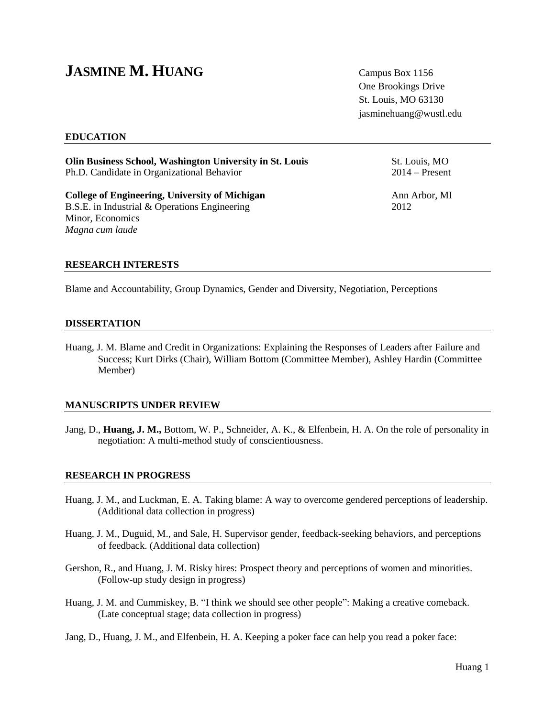# **JASMINE M. HUANG** Campus Box 1156

One Brookings Drive St. Louis, MO 63130 jasminehuang@wustl.edu

## **EDUCATION**

**Olin Business School, Washington University in St. Louis St. Louis, St. Louis, MO** Ph.D. Candidate in Organizational Behavior 2014 – Present

**College of Engineering, University of Michigan** Ann Arbor, MI B.S.E. in Industrial & Operations Engineering 2012 Minor, Economics *Magna cum laude*

**RESEARCH INTERESTS**

Blame and Accountability, Group Dynamics, Gender and Diversity, Negotiation, Perceptions

#### **DISSERTATION**

Huang, J. M. Blame and Credit in Organizations: Explaining the Responses of Leaders after Failure and Success; Kurt Dirks (Chair), William Bottom (Committee Member), Ashley Hardin (Committee Member)

#### **MANUSCRIPTS UNDER REVIEW**

Jang, D., **Huang, J. M.,** Bottom, W. P., Schneider, A. K., & Elfenbein, H. A. On the role of personality in negotiation: A multi-method study of conscientiousness.

#### **RESEARCH IN PROGRESS**

- Huang, J. M., and Luckman, E. A. Taking blame: A way to overcome gendered perceptions of leadership. (Additional data collection in progress)
- Huang, J. M., Duguid, M., and Sale, H. Supervisor gender, feedback-seeking behaviors, and perceptions of feedback. (Additional data collection)
- Gershon, R., and Huang, J. M. Risky hires: Prospect theory and perceptions of women and minorities. (Follow-up study design in progress)
- Huang, J. M. and Cummiskey, B. "I think we should see other people": Making a creative comeback. (Late conceptual stage; data collection in progress)
- Jang, D., Huang, J. M., and Elfenbein, H. A. Keeping a poker face can help you read a poker face: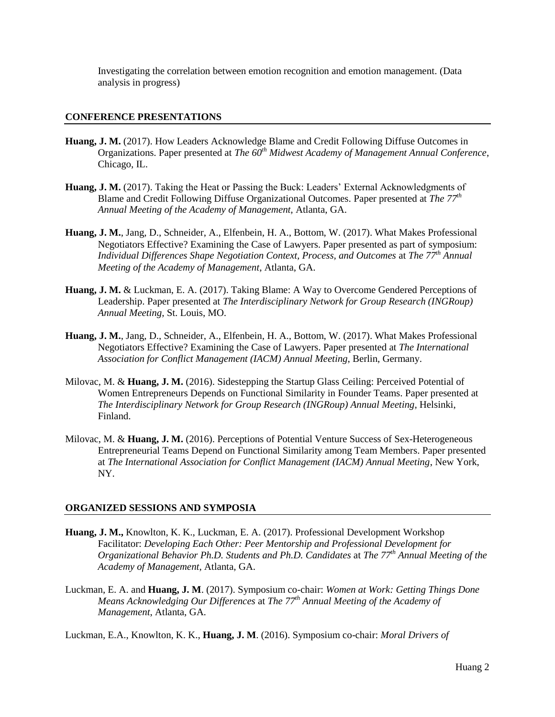Investigating the correlation between emotion recognition and emotion management. (Data analysis in progress)

## **CONFERENCE PRESENTATIONS**

- **Huang, J. M.** (2017). How Leaders Acknowledge Blame and Credit Following Diffuse Outcomes in Organizations. Paper presented at *The 60th Midwest Academy of Management Annual Conference*, Chicago, IL.
- **Huang, J. M.** (2017). Taking the Heat or Passing the Buck: Leaders' External Acknowledgments of Blame and Credit Following Diffuse Organizational Outcomes. Paper presented at *The 77th Annual Meeting of the Academy of Management,* Atlanta, GA.
- **Huang, J. M.**, Jang, D., Schneider, A., Elfenbein, H. A., Bottom, W. (2017). What Makes Professional Negotiators Effective? Examining the Case of Lawyers. Paper presented as part of symposium: *Individual Differences Shape Negotiation Context, Process, and Outcomes* at *The 77th Annual Meeting of the Academy of Management*, Atlanta, GA.
- **Huang, J. M.** & Luckman, E. A. (2017). Taking Blame: A Way to Overcome Gendered Perceptions of Leadership. Paper presented at *The Interdisciplinary Network for Group Research (INGRoup) Annual Meeting*, St. Louis, MO.
- **Huang, J. M.**, Jang, D., Schneider, A., Elfenbein, H. A., Bottom, W. (2017). What Makes Professional Negotiators Effective? Examining the Case of Lawyers. Paper presented at *The International Association for Conflict Management (IACM) Annual Meeting*, Berlin, Germany.
- Milovac, M. & **Huang, J. M.** (2016). Sidestepping the Startup Glass Ceiling: Perceived Potential of Women Entrepreneurs Depends on Functional Similarity in Founder Teams. Paper presented at *The Interdisciplinary Network for Group Research (INGRoup) Annual Meeting*, Helsinki, Finland.
- Milovac, M. & **Huang, J. M.** (2016). Perceptions of Potential Venture Success of Sex-Heterogeneous Entrepreneurial Teams Depend on Functional Similarity among Team Members. Paper presented at *The International Association for Conflict Management (IACM) Annual Meeting*, New York, NY.

#### **ORGANIZED SESSIONS AND SYMPOSIA**

- **Huang, J. M.,** Knowlton, K. K., Luckman, E. A. (2017). Professional Development Workshop Facilitator: *Developing Each Other: Peer Mentorship and Professional Development for Organizational Behavior Ph.D. Students and Ph.D. Candidates* at *The 77th Annual Meeting of the Academy of Management*, Atlanta, GA.
- Luckman, E. A. and **Huang, J. M**. (2017). Symposium co-chair: *Women at Work: Getting Things Done Means Acknowledging Our Differences* at *The 77th Annual Meeting of the Academy of Management*, Atlanta, GA.

Luckman, E.A., Knowlton, K. K., **Huang, J. M**. (2016). Symposium co-chair: *Moral Drivers of*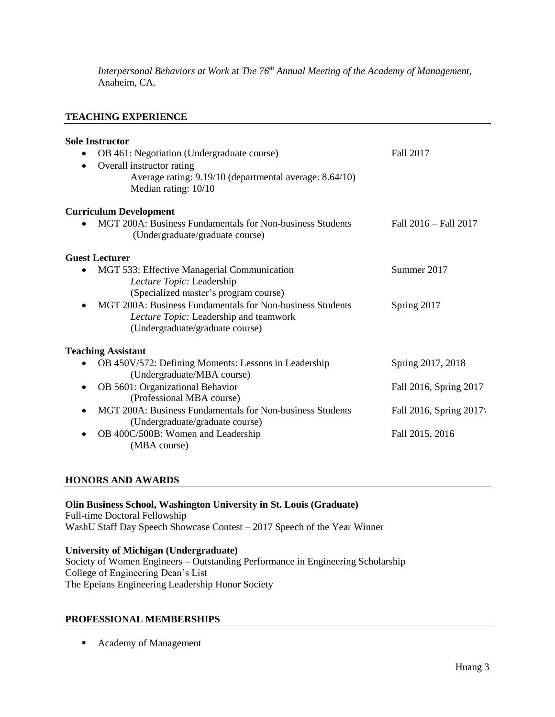*Interpersonal Behaviors at Work* at *The 76th Annual Meeting of the Academy of Management*, Anaheim, CA.

# **TEACHING EXPERIENCE**

| <b>Sole Instructor</b>                                    |                                    |
|-----------------------------------------------------------|------------------------------------|
| OB 461: Negotiation (Undergraduate course)                | <b>Fall 2017</b>                   |
| Overall instructor rating<br>$\bullet$                    |                                    |
| Average rating: 9.19/10 (departmental average: 8.64/10)   |                                    |
| Median rating: 10/10                                      |                                    |
| <b>Curriculum Development</b>                             |                                    |
| MGT 200A: Business Fundamentals for Non-business Students | Fall 2016 - Fall 2017              |
| (Undergraduate/graduate course)                           |                                    |
| <b>Guest Lecturer</b>                                     |                                    |
| MGT 533: Effective Managerial Communication               | Summer 2017                        |
| Lecture Topic: Leadership                                 |                                    |
| (Specialized master's program course)                     |                                    |
| MGT 200A: Business Fundamentals for Non-business Students | Spring 2017                        |
| Lecture Topic: Leadership and teamwork                    |                                    |
| (Undergraduate/graduate course)                           |                                    |
| <b>Teaching Assistant</b>                                 |                                    |
| OB 450V/572: Defining Moments: Lessons in Leadership      | Spring 2017, 2018                  |
| (Undergraduate/MBA course)                                |                                    |
| OB 5601: Organizational Behavior<br>٠                     | Fall 2016, Spring 2017             |
| (Professional MBA course)                                 |                                    |
| MGT 200A: Business Fundamentals for Non-business Students | Fall 2016, Spring 2017 $\setminus$ |
| (Undergraduate/graduate course)                           |                                    |
| OB 400C/500B: Women and Leadership                        | Fall 2015, 2016                    |
| (MBA course)                                              |                                    |
|                                                           |                                    |

# **HONORS AND AWARDS**

#### **Olin Business School, Washington University in St. Louis (Graduate)**

Full-time Doctoral Fellowship WashU Staff Day Speech Showcase Contest – 2017 Speech of the Year Winner

# **University of Michigan (Undergraduate)**

Society of Women Engineers – Outstanding Performance in Engineering Scholarship College of Engineering Dean's List The Epeians Engineering Leadership Honor Society

## **PROFESSIONAL MEMBERSHIPS**

■ Academy of Management